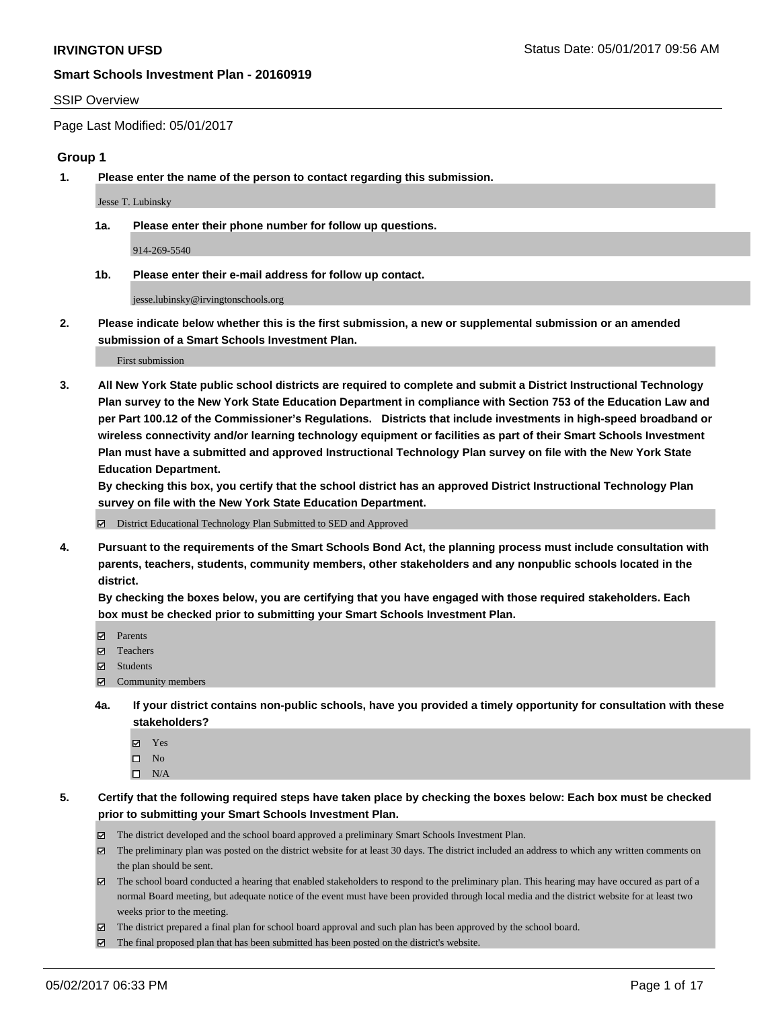#### SSIP Overview

Page Last Modified: 05/01/2017

### **Group 1**

**1. Please enter the name of the person to contact regarding this submission.**

Jesse T. Lubinsky

**1a. Please enter their phone number for follow up questions.**

914-269-5540

**1b. Please enter their e-mail address for follow up contact.**

jesse.lubinsky@irvingtonschools.org

**2. Please indicate below whether this is the first submission, a new or supplemental submission or an amended submission of a Smart Schools Investment Plan.**

First submission

**3. All New York State public school districts are required to complete and submit a District Instructional Technology Plan survey to the New York State Education Department in compliance with Section 753 of the Education Law and per Part 100.12 of the Commissioner's Regulations. Districts that include investments in high-speed broadband or wireless connectivity and/or learning technology equipment or facilities as part of their Smart Schools Investment Plan must have a submitted and approved Instructional Technology Plan survey on file with the New York State Education Department.** 

**By checking this box, you certify that the school district has an approved District Instructional Technology Plan survey on file with the New York State Education Department.**

District Educational Technology Plan Submitted to SED and Approved

**4. Pursuant to the requirements of the Smart Schools Bond Act, the planning process must include consultation with parents, teachers, students, community members, other stakeholders and any nonpublic schools located in the district.** 

**By checking the boxes below, you are certifying that you have engaged with those required stakeholders. Each box must be checked prior to submitting your Smart Schools Investment Plan.**

- **マ** Parents
- □ Teachers
- Students
- $\Xi$  Community members
- **4a. If your district contains non-public schools, have you provided a timely opportunity for consultation with these stakeholders?**
	- Yes
	- $\hfill \square$  No
	- $\square$  N/A
- **5. Certify that the following required steps have taken place by checking the boxes below: Each box must be checked prior to submitting your Smart Schools Investment Plan.**
	- The district developed and the school board approved a preliminary Smart Schools Investment Plan.
	- $\boxtimes$  The preliminary plan was posted on the district website for at least 30 days. The district included an address to which any written comments on the plan should be sent.
	- $\boxtimes$  The school board conducted a hearing that enabled stakeholders to respond to the preliminary plan. This hearing may have occured as part of a normal Board meeting, but adequate notice of the event must have been provided through local media and the district website for at least two weeks prior to the meeting.
	- The district prepared a final plan for school board approval and such plan has been approved by the school board.
	- $\boxtimes$  The final proposed plan that has been submitted has been posted on the district's website.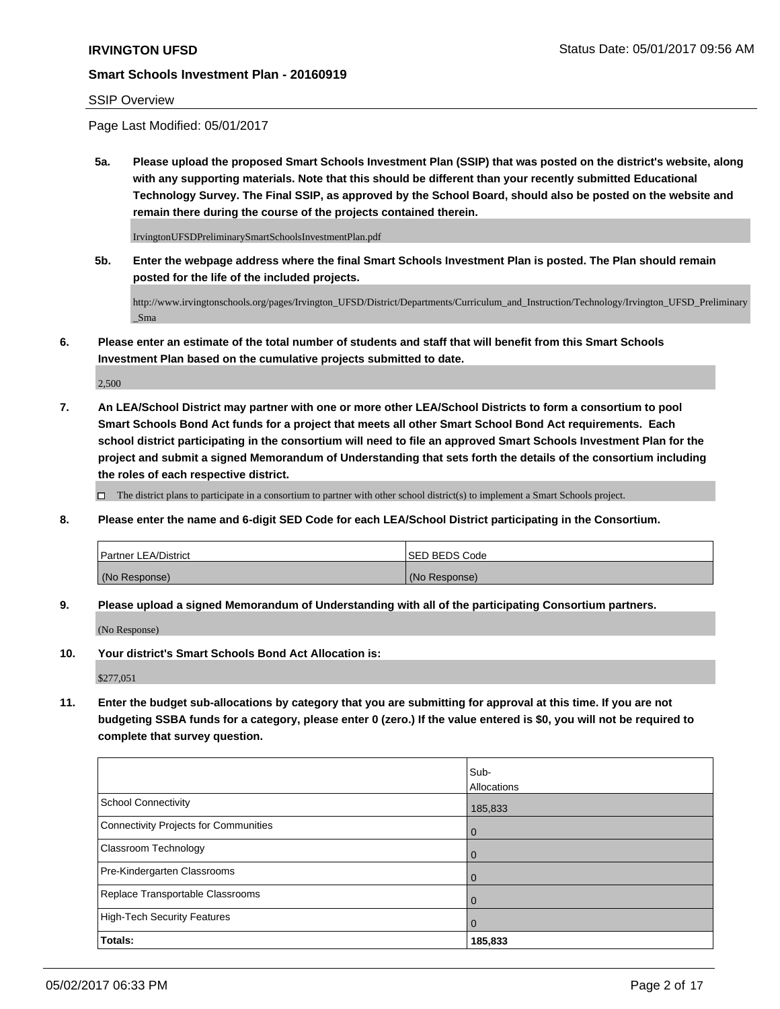### SSIP Overview

Page Last Modified: 05/01/2017

**5a. Please upload the proposed Smart Schools Investment Plan (SSIP) that was posted on the district's website, along with any supporting materials. Note that this should be different than your recently submitted Educational Technology Survey. The Final SSIP, as approved by the School Board, should also be posted on the website and remain there during the course of the projects contained therein.**

IrvingtonUFSDPreliminarySmartSchoolsInvestmentPlan.pdf

**5b. Enter the webpage address where the final Smart Schools Investment Plan is posted. The Plan should remain posted for the life of the included projects.**

http://www.irvingtonschools.org/pages/Irvington\_UFSD/District/Departments/Curriculum\_and\_Instruction/Technology/Irvington\_UFSD\_Preliminary \_Sma

**6. Please enter an estimate of the total number of students and staff that will benefit from this Smart Schools Investment Plan based on the cumulative projects submitted to date.**

2,500

**7. An LEA/School District may partner with one or more other LEA/School Districts to form a consortium to pool Smart Schools Bond Act funds for a project that meets all other Smart School Bond Act requirements. Each school district participating in the consortium will need to file an approved Smart Schools Investment Plan for the project and submit a signed Memorandum of Understanding that sets forth the details of the consortium including the roles of each respective district.**

 $\Box$  The district plans to participate in a consortium to partner with other school district(s) to implement a Smart Schools project.

**8. Please enter the name and 6-digit SED Code for each LEA/School District participating in the Consortium.**

| <b>Partner LEA/District</b> | ISED BEDS Code |
|-----------------------------|----------------|
| (No Response)               | (No Response)  |

**9. Please upload a signed Memorandum of Understanding with all of the participating Consortium partners.**

(No Response)

**10. Your district's Smart Schools Bond Act Allocation is:**

\$277,051

**11. Enter the budget sub-allocations by category that you are submitting for approval at this time. If you are not budgeting SSBA funds for a category, please enter 0 (zero.) If the value entered is \$0, you will not be required to complete that survey question.**

|                                       | Sub-<br>Allocations |
|---------------------------------------|---------------------|
| School Connectivity                   | 185,833             |
| Connectivity Projects for Communities | $\overline{0}$      |
| <b>Classroom Technology</b>           | $\overline{0}$      |
| Pre-Kindergarten Classrooms           | $\Omega$            |
| Replace Transportable Classrooms      | $\mathbf 0$         |
| High-Tech Security Features           | $\Omega$            |
| Totals:                               | 185,833             |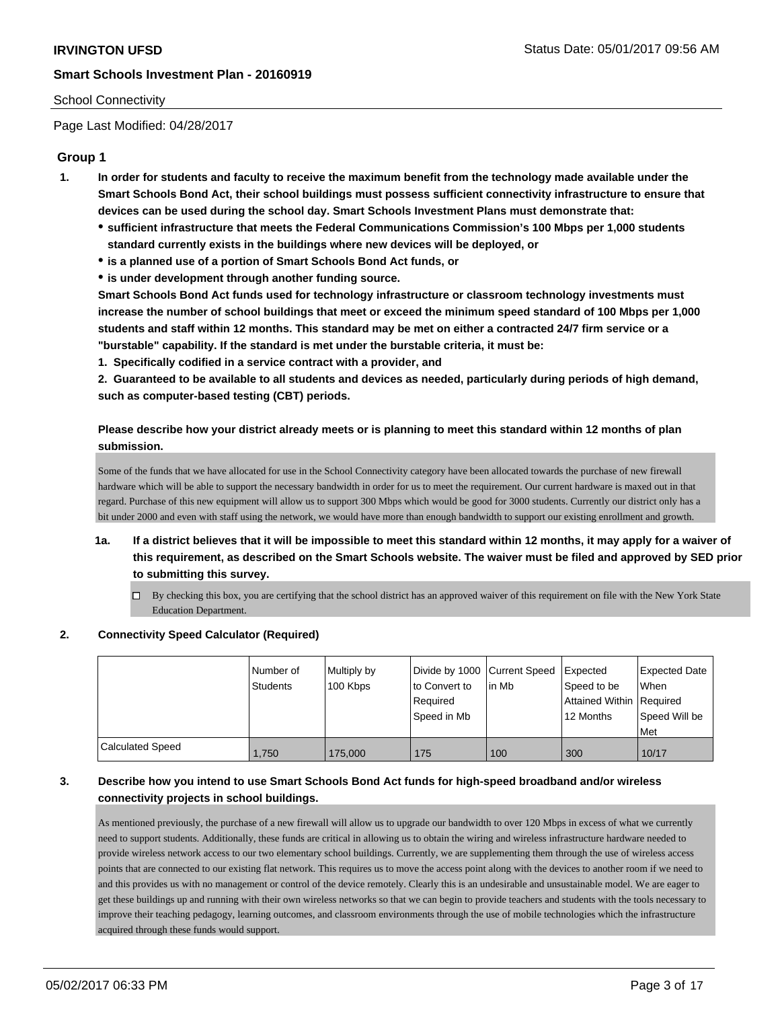### School Connectivity

Page Last Modified: 04/28/2017

## **Group 1**

- **1. In order for students and faculty to receive the maximum benefit from the technology made available under the Smart Schools Bond Act, their school buildings must possess sufficient connectivity infrastructure to ensure that devices can be used during the school day. Smart Schools Investment Plans must demonstrate that:**
	- **sufficient infrastructure that meets the Federal Communications Commission's 100 Mbps per 1,000 students standard currently exists in the buildings where new devices will be deployed, or**
	- **is a planned use of a portion of Smart Schools Bond Act funds, or**
	- **is under development through another funding source.**

**Smart Schools Bond Act funds used for technology infrastructure or classroom technology investments must increase the number of school buildings that meet or exceed the minimum speed standard of 100 Mbps per 1,000 students and staff within 12 months. This standard may be met on either a contracted 24/7 firm service or a "burstable" capability. If the standard is met under the burstable criteria, it must be:**

**1. Specifically codified in a service contract with a provider, and**

**2. Guaranteed to be available to all students and devices as needed, particularly during periods of high demand, such as computer-based testing (CBT) periods.**

**Please describe how your district already meets or is planning to meet this standard within 12 months of plan submission.**

Some of the funds that we have allocated for use in the School Connectivity category have been allocated towards the purchase of new firewall hardware which will be able to support the necessary bandwidth in order for us to meet the requirement. Our current hardware is maxed out in that regard. Purchase of this new equipment will allow us to support 300 Mbps which would be good for 3000 students. Currently our district only has a bit under 2000 and even with staff using the network, we would have more than enough bandwidth to support our existing enrollment and growth.

- **1a. If a district believes that it will be impossible to meet this standard within 12 months, it may apply for a waiver of this requirement, as described on the Smart Schools website. The waiver must be filed and approved by SED prior to submitting this survey.**
	- By checking this box, you are certifying that the school district has an approved waiver of this requirement on file with the New York State Education Department.

#### **2. Connectivity Speed Calculator (Required)**

|                  | Number of<br><b>Students</b> | Multiply by<br>100 Kbps | Divide by 1000 Current Speed<br>to Convert to<br>Reauired<br>Speed in Mb | l in Mb | Expected<br>Speed to be<br>Attained Within   Required<br>12 Months | <b>Expected Date</b><br><b>When</b><br>Speed Will be<br>Met |
|------------------|------------------------------|-------------------------|--------------------------------------------------------------------------|---------|--------------------------------------------------------------------|-------------------------------------------------------------|
| Calculated Speed | 1.750                        | 175.000                 | 175                                                                      | 100     | 300                                                                | 10/17                                                       |

## **3. Describe how you intend to use Smart Schools Bond Act funds for high-speed broadband and/or wireless connectivity projects in school buildings.**

As mentioned previously, the purchase of a new firewall will allow us to upgrade our bandwidth to over 120 Mbps in excess of what we currently need to support students. Additionally, these funds are critical in allowing us to obtain the wiring and wireless infrastructure hardware needed to provide wireless network access to our two elementary school buildings. Currently, we are supplementing them through the use of wireless access points that are connected to our existing flat network. This requires us to move the access point along with the devices to another room if we need to and this provides us with no management or control of the device remotely. Clearly this is an undesirable and unsustainable model. We are eager to get these buildings up and running with their own wireless networks so that we can begin to provide teachers and students with the tools necessary to improve their teaching pedagogy, learning outcomes, and classroom environments through the use of mobile technologies which the infrastructure acquired through these funds would support.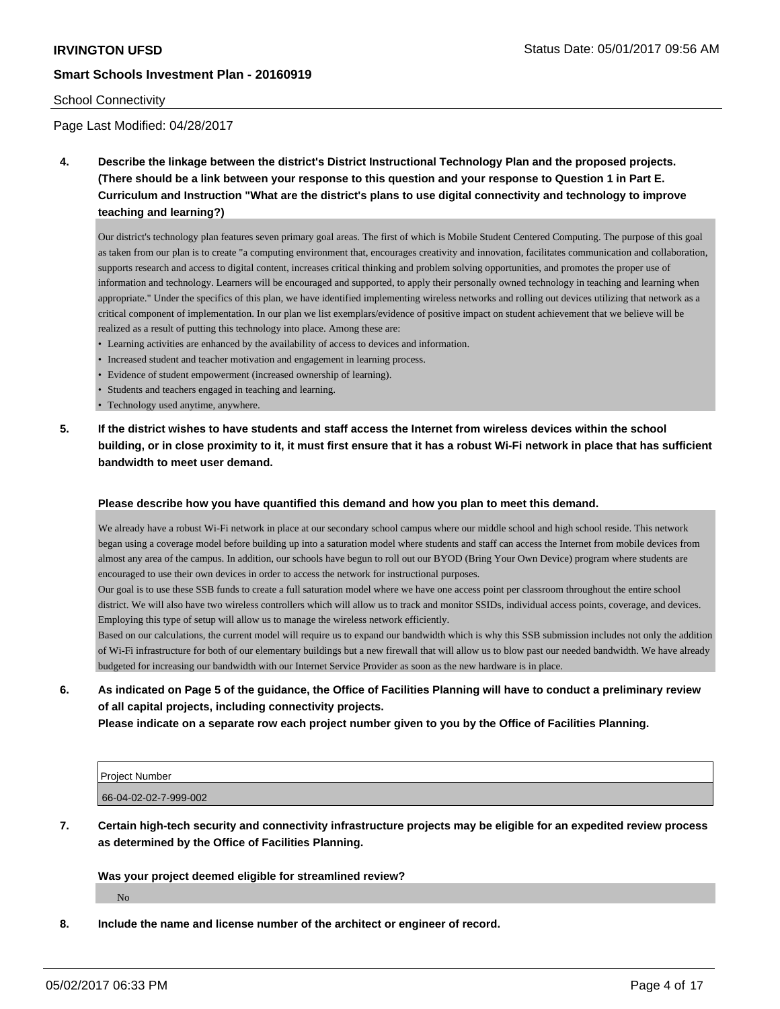### School Connectivity

Page Last Modified: 04/28/2017

**4. Describe the linkage between the district's District Instructional Technology Plan and the proposed projects. (There should be a link between your response to this question and your response to Question 1 in Part E. Curriculum and Instruction "What are the district's plans to use digital connectivity and technology to improve teaching and learning?)**

Our district's technology plan features seven primary goal areas. The first of which is Mobile Student Centered Computing. The purpose of this goal as taken from our plan is to create "a computing environment that, encourages creativity and innovation, facilitates communication and collaboration, supports research and access to digital content, increases critical thinking and problem solving opportunities, and promotes the proper use of information and technology. Learners will be encouraged and supported, to apply their personally owned technology in teaching and learning when appropriate." Under the specifics of this plan, we have identified implementing wireless networks and rolling out devices utilizing that network as a critical component of implementation. In our plan we list exemplars/evidence of positive impact on student achievement that we believe will be realized as a result of putting this technology into place. Among these are:

- Learning activities are enhanced by the availability of access to devices and information.
- Increased student and teacher motivation and engagement in learning process.
- Evidence of student empowerment (increased ownership of learning).
- Students and teachers engaged in teaching and learning.
- Technology used anytime, anywhere.
- **5. If the district wishes to have students and staff access the Internet from wireless devices within the school building, or in close proximity to it, it must first ensure that it has a robust Wi-Fi network in place that has sufficient bandwidth to meet user demand.**

#### **Please describe how you have quantified this demand and how you plan to meet this demand.**

We already have a robust Wi-Fi network in place at our secondary school campus where our middle school and high school reside. This network began using a coverage model before building up into a saturation model where students and staff can access the Internet from mobile devices from almost any area of the campus. In addition, our schools have begun to roll out our BYOD (Bring Your Own Device) program where students are encouraged to use their own devices in order to access the network for instructional purposes.

Our goal is to use these SSB funds to create a full saturation model where we have one access point per classroom throughout the entire school district. We will also have two wireless controllers which will allow us to track and monitor SSIDs, individual access points, coverage, and devices. Employing this type of setup will allow us to manage the wireless network efficiently.

Based on our calculations, the current model will require us to expand our bandwidth which is why this SSB submission includes not only the addition of Wi-Fi infrastructure for both of our elementary buildings but a new firewall that will allow us to blow past our needed bandwidth. We have already budgeted for increasing our bandwidth with our Internet Service Provider as soon as the new hardware is in place.

**6. As indicated on Page 5 of the guidance, the Office of Facilities Planning will have to conduct a preliminary review of all capital projects, including connectivity projects.**

**Please indicate on a separate row each project number given to you by the Office of Facilities Planning.**

| Project Number        |  |
|-----------------------|--|
| 66-04-02-02-7-999-002 |  |

**7. Certain high-tech security and connectivity infrastructure projects may be eligible for an expedited review process as determined by the Office of Facilities Planning.**

**Was your project deemed eligible for streamlined review?**

No

**8. Include the name and license number of the architect or engineer of record.**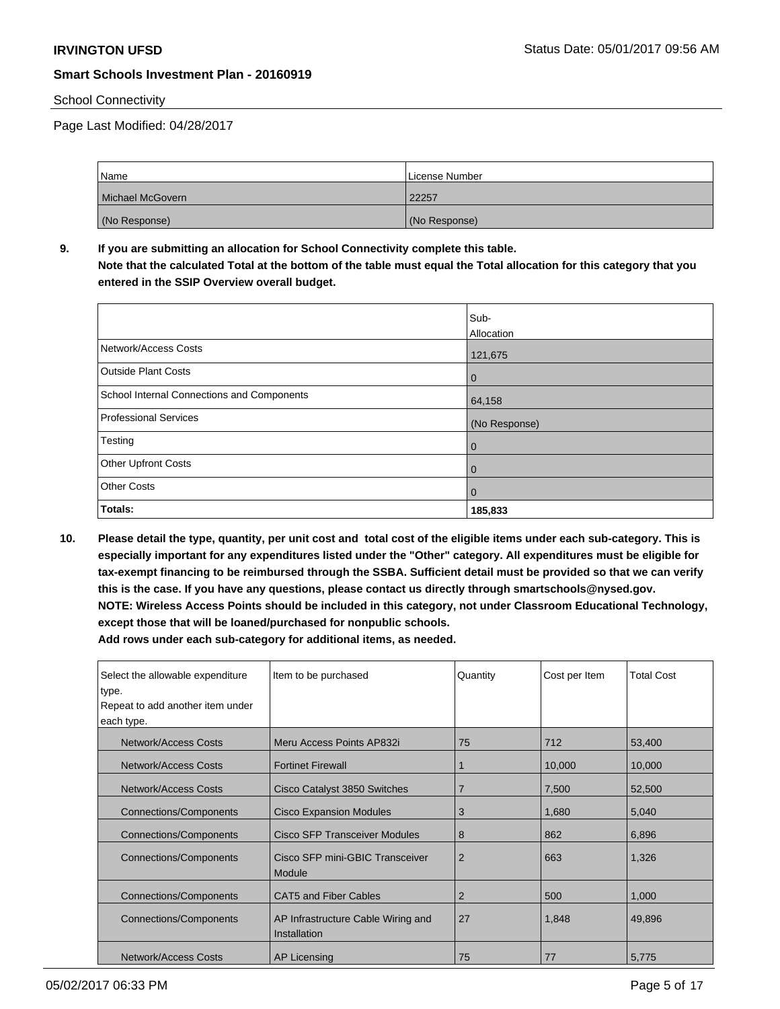## School Connectivity

Page Last Modified: 04/28/2017

| Name             | License Number |
|------------------|----------------|
| Michael McGovern | 22257          |
| (No Response)    | (No Response)  |

**9. If you are submitting an allocation for School Connectivity complete this table. Note that the calculated Total at the bottom of the table must equal the Total allocation for this category that you entered in the SSIP Overview overall budget.** 

|                                            | Sub-<br>Allocation |
|--------------------------------------------|--------------------|
| Network/Access Costs                       | 121,675            |
| <b>Outside Plant Costs</b>                 | $\overline{0}$     |
| School Internal Connections and Components | 64,158             |
| <b>Professional Services</b>               | (No Response)      |
| Testing                                    | $\overline{0}$     |
| Other Upfront Costs                        | $\mathbf 0$        |
| <b>Other Costs</b>                         | $\overline{0}$     |
| Totals:                                    | 185,833            |

**10. Please detail the type, quantity, per unit cost and total cost of the eligible items under each sub-category. This is especially important for any expenditures listed under the "Other" category. All expenditures must be eligible for tax-exempt financing to be reimbursed through the SSBA. Sufficient detail must be provided so that we can verify this is the case. If you have any questions, please contact us directly through smartschools@nysed.gov. NOTE: Wireless Access Points should be included in this category, not under Classroom Educational Technology, except those that will be loaned/purchased for nonpublic schools.**

| Select the allowable expenditure | Item to be purchased                               | Quantity | Cost per Item | <b>Total Cost</b> |
|----------------------------------|----------------------------------------------------|----------|---------------|-------------------|
| type.                            |                                                    |          |               |                   |
| Repeat to add another item under |                                                    |          |               |                   |
| each type.                       |                                                    |          |               |                   |
| Network/Access Costs             | Meru Access Points AP832i                          | 75       | 712           | 53,400            |
| Network/Access Costs             | <b>Fortinet Firewall</b>                           |          | 10,000        | 10,000            |
| Network/Access Costs             | Cisco Catalyst 3850 Switches                       |          | 7,500         | 52,500            |
| <b>Connections/Components</b>    | <b>Cisco Expansion Modules</b>                     | 3        | 1,680         | 5,040             |
| <b>Connections/Components</b>    | Cisco SFP Transceiver Modules                      | 8        | 862           | 6,896             |
| <b>Connections/Components</b>    | Cisco SFP mini-GBIC Transceiver                    | 2        | 663           | 1,326             |
|                                  | Module                                             |          |               |                   |
| <b>Connections/Components</b>    | CAT5 and Fiber Cables                              | 2        | 500           | 1,000             |
| <b>Connections/Components</b>    | AP Infrastructure Cable Wiring and<br>Installation | 27       | 1,848         | 49,896            |
| Network/Access Costs             | AP Licensing                                       | 75       | 77            | 5,775             |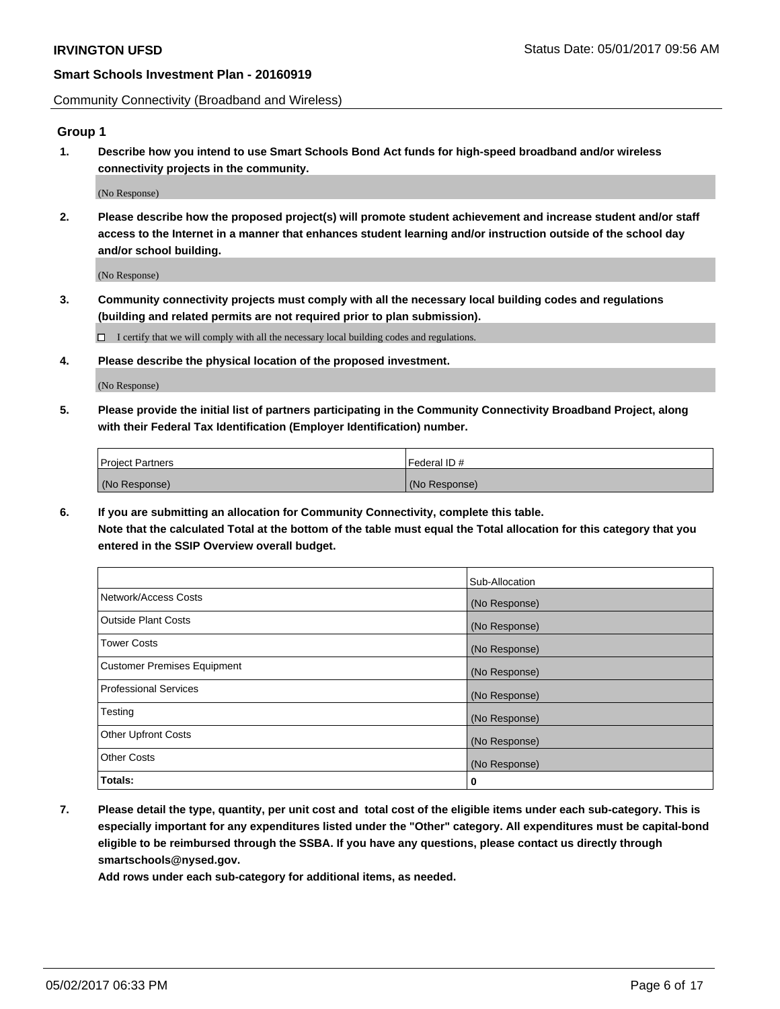Community Connectivity (Broadband and Wireless)

## **Group 1**

**1. Describe how you intend to use Smart Schools Bond Act funds for high-speed broadband and/or wireless connectivity projects in the community.**

(No Response)

**2. Please describe how the proposed project(s) will promote student achievement and increase student and/or staff access to the Internet in a manner that enhances student learning and/or instruction outside of the school day and/or school building.**

(No Response)

**3. Community connectivity projects must comply with all the necessary local building codes and regulations (building and related permits are not required prior to plan submission).**

 $\Box$  I certify that we will comply with all the necessary local building codes and regulations.

**4. Please describe the physical location of the proposed investment.**

(No Response)

**5. Please provide the initial list of partners participating in the Community Connectivity Broadband Project, along with their Federal Tax Identification (Employer Identification) number.**

| <b>Project Partners</b> | Federal ID#   |
|-------------------------|---------------|
| (No Response)           | (No Response) |

**6. If you are submitting an allocation for Community Connectivity, complete this table. Note that the calculated Total at the bottom of the table must equal the Total allocation for this category that you entered in the SSIP Overview overall budget.**

|                                    | Sub-Allocation |
|------------------------------------|----------------|
| Network/Access Costs               | (No Response)  |
| Outside Plant Costs                | (No Response)  |
| <b>Tower Costs</b>                 | (No Response)  |
| <b>Customer Premises Equipment</b> | (No Response)  |
| Professional Services              | (No Response)  |
| Testing                            | (No Response)  |
| <b>Other Upfront Costs</b>         | (No Response)  |
| <b>Other Costs</b>                 | (No Response)  |
| Totals:                            | 0              |

**7. Please detail the type, quantity, per unit cost and total cost of the eligible items under each sub-category. This is especially important for any expenditures listed under the "Other" category. All expenditures must be capital-bond eligible to be reimbursed through the SSBA. If you have any questions, please contact us directly through smartschools@nysed.gov.**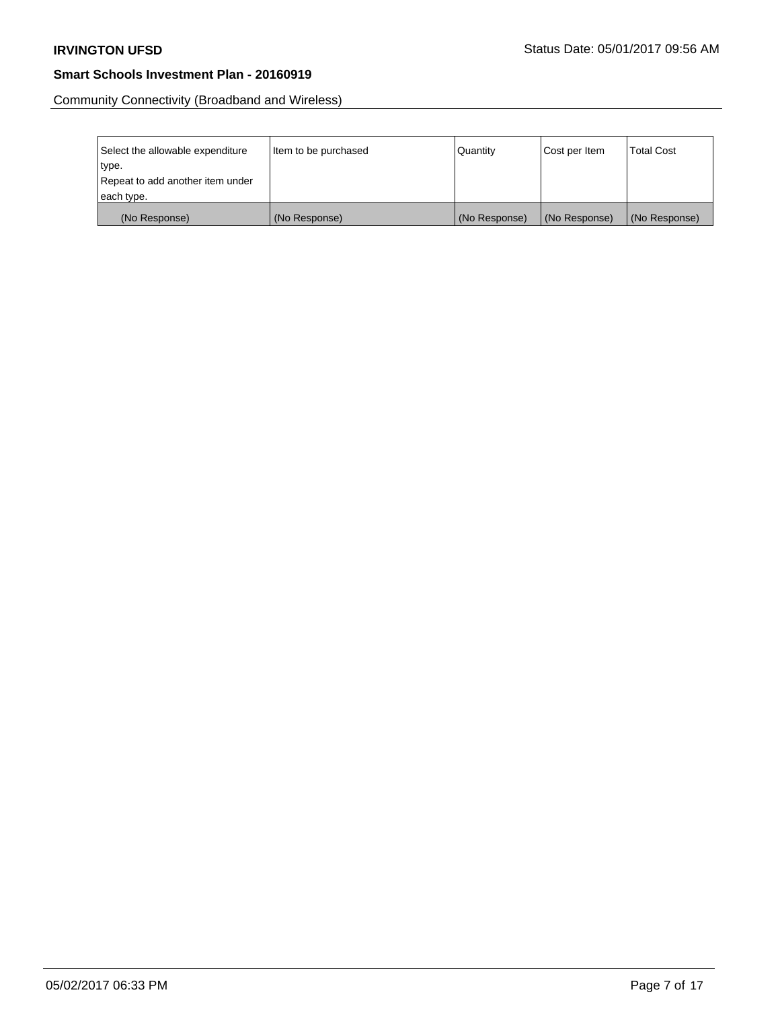Community Connectivity (Broadband and Wireless)

| Select the allowable expenditure<br>type. | Item to be purchased | Quantity      | Cost per Item | <b>Total Cost</b> |
|-------------------------------------------|----------------------|---------------|---------------|-------------------|
| Repeat to add another item under          |                      |               |               |                   |
| each type.                                |                      |               |               |                   |
| (No Response)                             | (No Response)        | (No Response) | (No Response) | (No Response)     |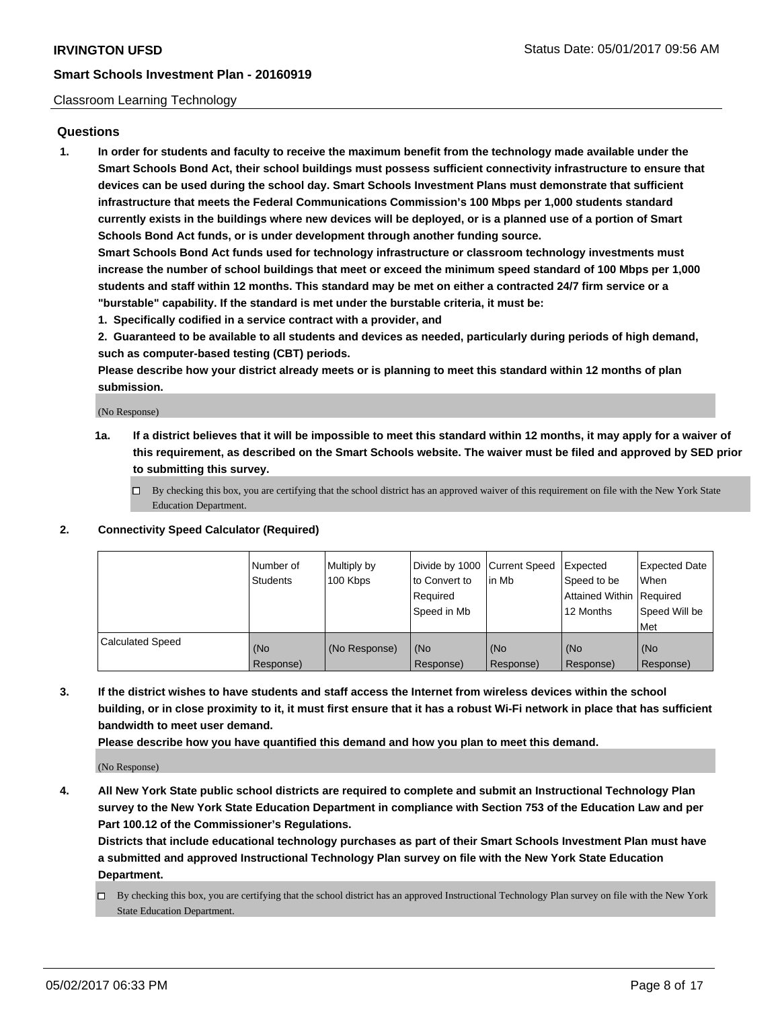#### Classroom Learning Technology

### **Questions**

**1. In order for students and faculty to receive the maximum benefit from the technology made available under the Smart Schools Bond Act, their school buildings must possess sufficient connectivity infrastructure to ensure that devices can be used during the school day. Smart Schools Investment Plans must demonstrate that sufficient infrastructure that meets the Federal Communications Commission's 100 Mbps per 1,000 students standard currently exists in the buildings where new devices will be deployed, or is a planned use of a portion of Smart Schools Bond Act funds, or is under development through another funding source.**

**Smart Schools Bond Act funds used for technology infrastructure or classroom technology investments must increase the number of school buildings that meet or exceed the minimum speed standard of 100 Mbps per 1,000 students and staff within 12 months. This standard may be met on either a contracted 24/7 firm service or a "burstable" capability. If the standard is met under the burstable criteria, it must be:**

**1. Specifically codified in a service contract with a provider, and**

**2. Guaranteed to be available to all students and devices as needed, particularly during periods of high demand, such as computer-based testing (CBT) periods.**

**Please describe how your district already meets or is planning to meet this standard within 12 months of plan submission.**

(No Response)

- **1a. If a district believes that it will be impossible to meet this standard within 12 months, it may apply for a waiver of this requirement, as described on the Smart Schools website. The waiver must be filed and approved by SED prior to submitting this survey.**
	- $\Box$  By checking this box, you are certifying that the school district has an approved waiver of this requirement on file with the New York State Education Department.

#### **2. Connectivity Speed Calculator (Required)**

|                         | Number of<br><b>Students</b> | Multiply by<br>100 Kbps | Divide by 1000 Current Speed<br>to Convert to<br>Required<br>Speed in Mb | l in Mb          | Expected<br>Speed to be<br>Attained Within   Required<br>12 Months | <b>Expected Date</b><br><b>When</b><br>Speed Will be<br>Met |
|-------------------------|------------------------------|-------------------------|--------------------------------------------------------------------------|------------------|--------------------------------------------------------------------|-------------------------------------------------------------|
| <b>Calculated Speed</b> | (No<br>Response)             | (No Response)           | (No<br>Response)                                                         | (No<br>Response) | (No<br>Response)                                                   | (No<br>Response)                                            |

**3. If the district wishes to have students and staff access the Internet from wireless devices within the school building, or in close proximity to it, it must first ensure that it has a robust Wi-Fi network in place that has sufficient bandwidth to meet user demand.**

**Please describe how you have quantified this demand and how you plan to meet this demand.**

(No Response)

**4. All New York State public school districts are required to complete and submit an Instructional Technology Plan survey to the New York State Education Department in compliance with Section 753 of the Education Law and per Part 100.12 of the Commissioner's Regulations.**

**Districts that include educational technology purchases as part of their Smart Schools Investment Plan must have a submitted and approved Instructional Technology Plan survey on file with the New York State Education Department.**

By checking this box, you are certifying that the school district has an approved Instructional Technology Plan survey on file with the New York State Education Department.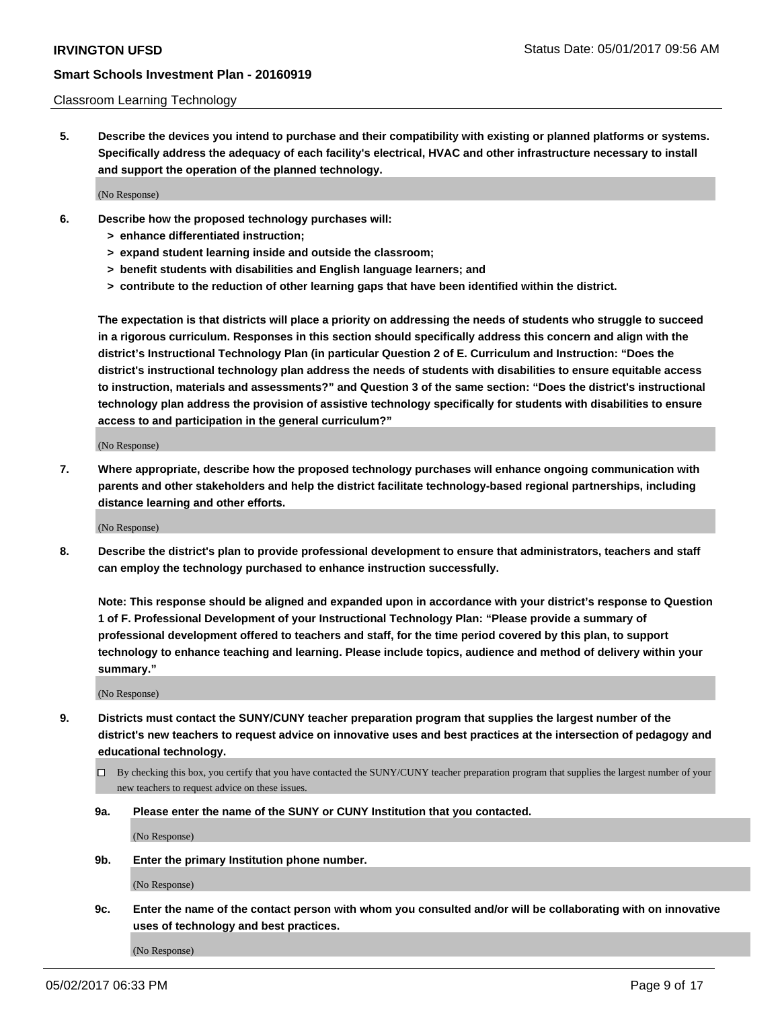#### Classroom Learning Technology

**5. Describe the devices you intend to purchase and their compatibility with existing or planned platforms or systems. Specifically address the adequacy of each facility's electrical, HVAC and other infrastructure necessary to install and support the operation of the planned technology.**

(No Response)

- **6. Describe how the proposed technology purchases will:**
	- **> enhance differentiated instruction;**
	- **> expand student learning inside and outside the classroom;**
	- **> benefit students with disabilities and English language learners; and**
	- **> contribute to the reduction of other learning gaps that have been identified within the district.**

**The expectation is that districts will place a priority on addressing the needs of students who struggle to succeed in a rigorous curriculum. Responses in this section should specifically address this concern and align with the district's Instructional Technology Plan (in particular Question 2 of E. Curriculum and Instruction: "Does the district's instructional technology plan address the needs of students with disabilities to ensure equitable access to instruction, materials and assessments?" and Question 3 of the same section: "Does the district's instructional technology plan address the provision of assistive technology specifically for students with disabilities to ensure access to and participation in the general curriculum?"**

(No Response)

**7. Where appropriate, describe how the proposed technology purchases will enhance ongoing communication with parents and other stakeholders and help the district facilitate technology-based regional partnerships, including distance learning and other efforts.**

(No Response)

**8. Describe the district's plan to provide professional development to ensure that administrators, teachers and staff can employ the technology purchased to enhance instruction successfully.**

**Note: This response should be aligned and expanded upon in accordance with your district's response to Question 1 of F. Professional Development of your Instructional Technology Plan: "Please provide a summary of professional development offered to teachers and staff, for the time period covered by this plan, to support technology to enhance teaching and learning. Please include topics, audience and method of delivery within your summary."**

(No Response)

- **9. Districts must contact the SUNY/CUNY teacher preparation program that supplies the largest number of the district's new teachers to request advice on innovative uses and best practices at the intersection of pedagogy and educational technology.**
	- By checking this box, you certify that you have contacted the SUNY/CUNY teacher preparation program that supplies the largest number of your new teachers to request advice on these issues.
	- **9a. Please enter the name of the SUNY or CUNY Institution that you contacted.**

(No Response)

**9b. Enter the primary Institution phone number.**

(No Response)

**9c. Enter the name of the contact person with whom you consulted and/or will be collaborating with on innovative uses of technology and best practices.**

(No Response)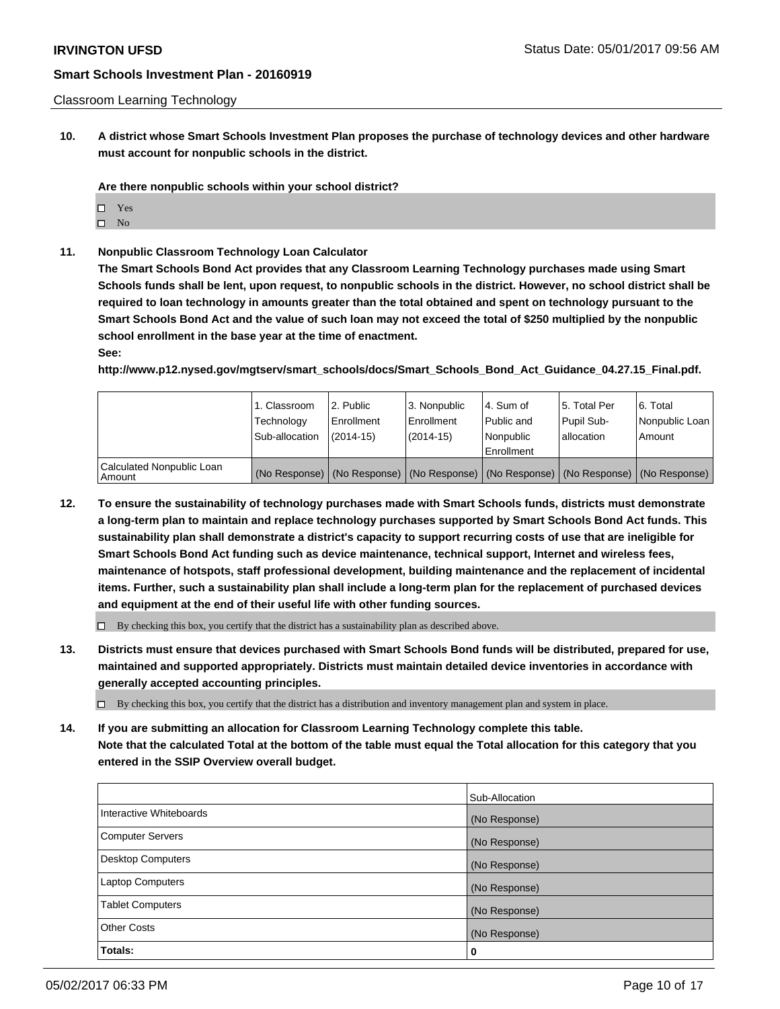#### Classroom Learning Technology

**10. A district whose Smart Schools Investment Plan proposes the purchase of technology devices and other hardware must account for nonpublic schools in the district.**

**Are there nonpublic schools within your school district?**

- □ Yes
- $\square$  No
- **11. Nonpublic Classroom Technology Loan Calculator**

**The Smart Schools Bond Act provides that any Classroom Learning Technology purchases made using Smart Schools funds shall be lent, upon request, to nonpublic schools in the district. However, no school district shall be required to loan technology in amounts greater than the total obtained and spent on technology pursuant to the Smart Schools Bond Act and the value of such loan may not exceed the total of \$250 multiplied by the nonpublic school enrollment in the base year at the time of enactment.**

#### **See:**

**http://www.p12.nysed.gov/mgtserv/smart\_schools/docs/Smart\_Schools\_Bond\_Act\_Guidance\_04.27.15\_Final.pdf.**

|                                     | 1. Classroom<br>Technology<br>Sub-allocation | l 2. Public<br>Enrollment<br>$(2014 - 15)$ | 3. Nonpublic<br>Enrollment<br>(2014-15) | l 4. Sum of<br>Public and<br>l Nonpublic<br>Enrollment                                        | 15. Total Per<br>Pupil Sub-<br>l allocation | l 6. Total<br>Nonpublic Loan<br>Amount |
|-------------------------------------|----------------------------------------------|--------------------------------------------|-----------------------------------------|-----------------------------------------------------------------------------------------------|---------------------------------------------|----------------------------------------|
| Calculated Nonpublic Loan<br>Amount |                                              |                                            |                                         | (No Response)   (No Response)   (No Response)   (No Response)   (No Response)   (No Response) |                                             |                                        |

**12. To ensure the sustainability of technology purchases made with Smart Schools funds, districts must demonstrate a long-term plan to maintain and replace technology purchases supported by Smart Schools Bond Act funds. This sustainability plan shall demonstrate a district's capacity to support recurring costs of use that are ineligible for Smart Schools Bond Act funding such as device maintenance, technical support, Internet and wireless fees, maintenance of hotspots, staff professional development, building maintenance and the replacement of incidental items. Further, such a sustainability plan shall include a long-term plan for the replacement of purchased devices and equipment at the end of their useful life with other funding sources.**

 $\Box$  By checking this box, you certify that the district has a sustainability plan as described above.

**13. Districts must ensure that devices purchased with Smart Schools Bond funds will be distributed, prepared for use, maintained and supported appropriately. Districts must maintain detailed device inventories in accordance with generally accepted accounting principles.**

By checking this box, you certify that the district has a distribution and inventory management plan and system in place.

**14. If you are submitting an allocation for Classroom Learning Technology complete this table. Note that the calculated Total at the bottom of the table must equal the Total allocation for this category that you entered in the SSIP Overview overall budget.**

|                          | Sub-Allocation |
|--------------------------|----------------|
| Interactive Whiteboards  | (No Response)  |
| <b>Computer Servers</b>  | (No Response)  |
| <b>Desktop Computers</b> | (No Response)  |
| Laptop Computers         | (No Response)  |
| <b>Tablet Computers</b>  | (No Response)  |
| <b>Other Costs</b>       | (No Response)  |
| Totals:                  | 0              |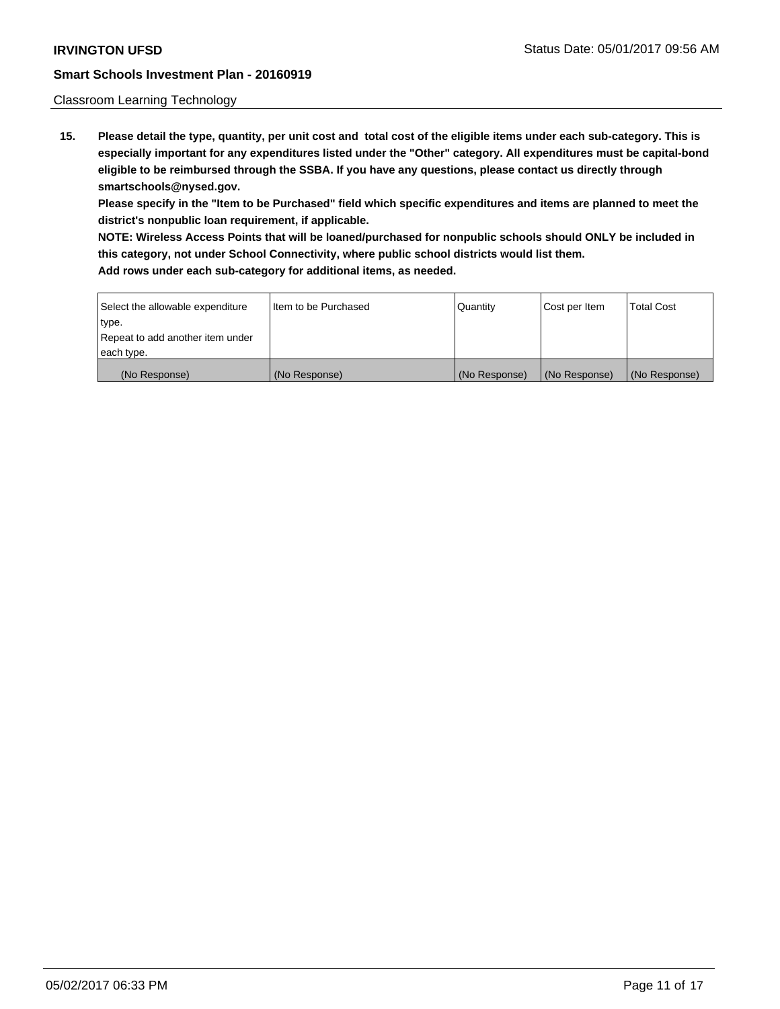#### Classroom Learning Technology

**15. Please detail the type, quantity, per unit cost and total cost of the eligible items under each sub-category. This is especially important for any expenditures listed under the "Other" category. All expenditures must be capital-bond eligible to be reimbursed through the SSBA. If you have any questions, please contact us directly through smartschools@nysed.gov.**

**Please specify in the "Item to be Purchased" field which specific expenditures and items are planned to meet the district's nonpublic loan requirement, if applicable.**

**NOTE: Wireless Access Points that will be loaned/purchased for nonpublic schools should ONLY be included in this category, not under School Connectivity, where public school districts would list them.**

| Select the allowable expenditure | I Item to be Purchased | Quantity      | Cost per Item | <b>Total Cost</b> |
|----------------------------------|------------------------|---------------|---------------|-------------------|
| type.                            |                        |               |               |                   |
| Repeat to add another item under |                        |               |               |                   |
| each type.                       |                        |               |               |                   |
| (No Response)                    | (No Response)          | (No Response) | (No Response) | (No Response)     |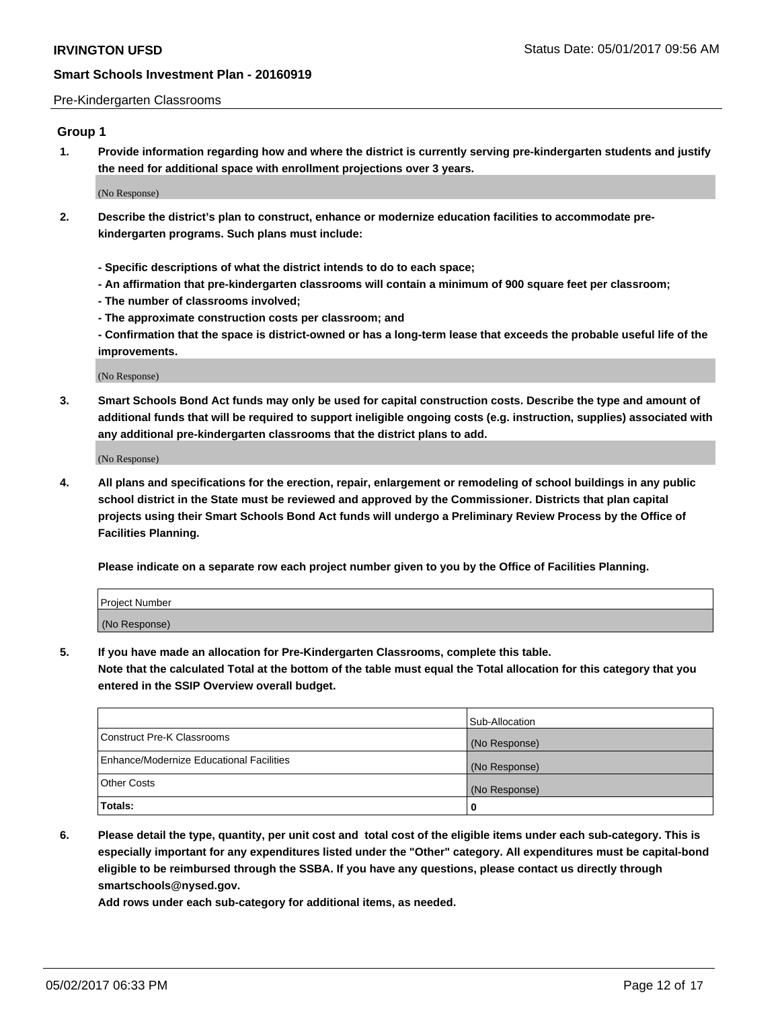#### Pre-Kindergarten Classrooms

## **Group 1**

**1. Provide information regarding how and where the district is currently serving pre-kindergarten students and justify the need for additional space with enrollment projections over 3 years.**

(No Response)

- **2. Describe the district's plan to construct, enhance or modernize education facilities to accommodate prekindergarten programs. Such plans must include:**
	- **Specific descriptions of what the district intends to do to each space;**
	- **An affirmation that pre-kindergarten classrooms will contain a minimum of 900 square feet per classroom;**
	- **The number of classrooms involved;**
	- **The approximate construction costs per classroom; and**

**- Confirmation that the space is district-owned or has a long-term lease that exceeds the probable useful life of the improvements.**

(No Response)

**3. Smart Schools Bond Act funds may only be used for capital construction costs. Describe the type and amount of additional funds that will be required to support ineligible ongoing costs (e.g. instruction, supplies) associated with any additional pre-kindergarten classrooms that the district plans to add.**

(No Response)

**4. All plans and specifications for the erection, repair, enlargement or remodeling of school buildings in any public school district in the State must be reviewed and approved by the Commissioner. Districts that plan capital projects using their Smart Schools Bond Act funds will undergo a Preliminary Review Process by the Office of Facilities Planning.**

**Please indicate on a separate row each project number given to you by the Office of Facilities Planning.**

| Project Number |  |
|----------------|--|
| (No Response)  |  |

**5. If you have made an allocation for Pre-Kindergarten Classrooms, complete this table.**

**Note that the calculated Total at the bottom of the table must equal the Total allocation for this category that you entered in the SSIP Overview overall budget.**

|                                          | Sub-Allocation |
|------------------------------------------|----------------|
| Construct Pre-K Classrooms               | (No Response)  |
| Enhance/Modernize Educational Facilities | (No Response)  |
| Other Costs                              | (No Response)  |
| Totals:                                  | 0              |

**6. Please detail the type, quantity, per unit cost and total cost of the eligible items under each sub-category. This is especially important for any expenditures listed under the "Other" category. All expenditures must be capital-bond eligible to be reimbursed through the SSBA. If you have any questions, please contact us directly through smartschools@nysed.gov.**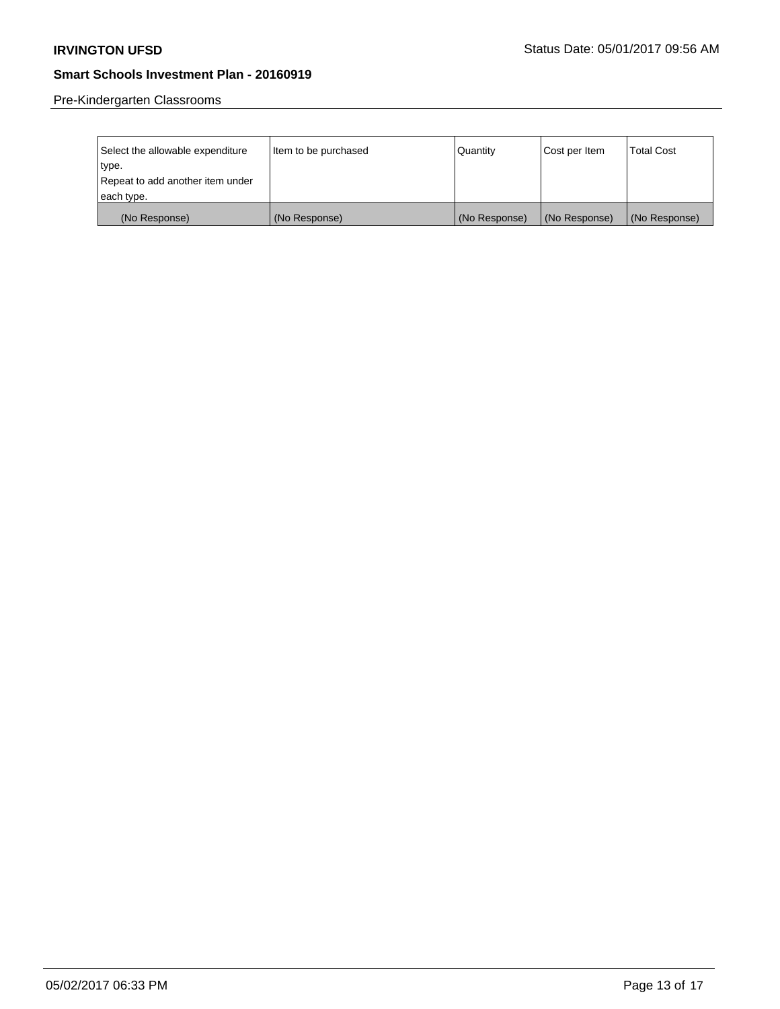Pre-Kindergarten Classrooms

| Select the allowable expenditure<br>'type.     | Item to be purchased | Quantity      | Cost per Item | <b>Total Cost</b> |
|------------------------------------------------|----------------------|---------------|---------------|-------------------|
| Repeat to add another item under<br>each type. |                      |               |               |                   |
| (No Response)                                  | (No Response)        | (No Response) | (No Response) | (No Response)     |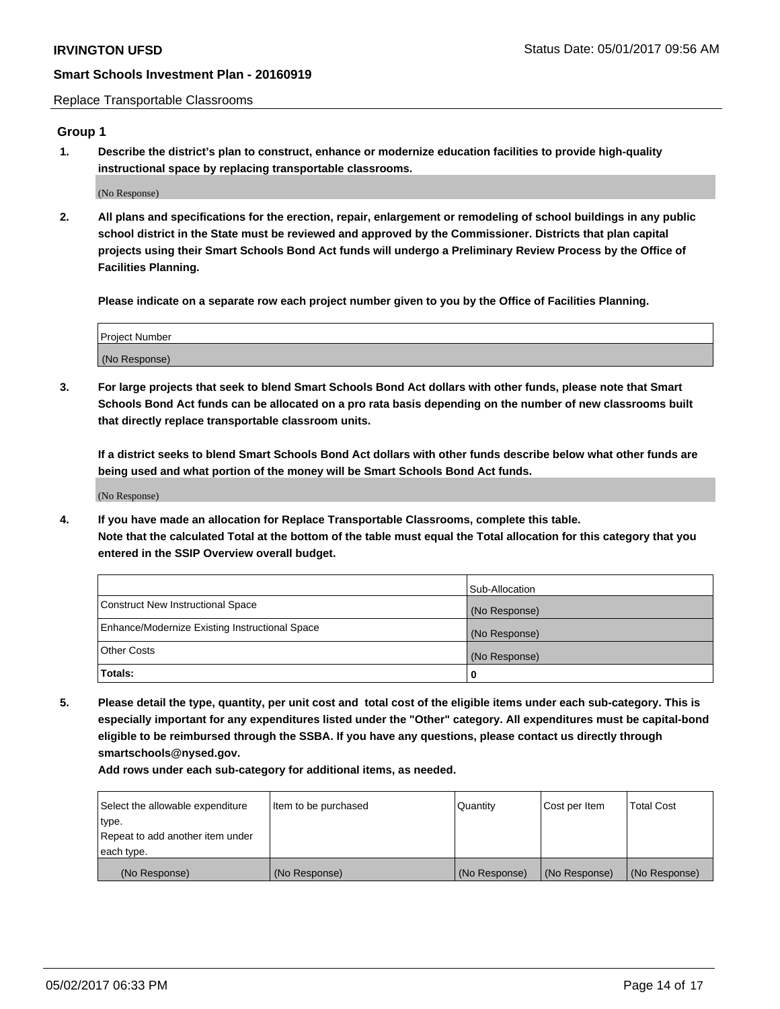Replace Transportable Classrooms

## **Group 1**

**1. Describe the district's plan to construct, enhance or modernize education facilities to provide high-quality instructional space by replacing transportable classrooms.**

(No Response)

**2. All plans and specifications for the erection, repair, enlargement or remodeling of school buildings in any public school district in the State must be reviewed and approved by the Commissioner. Districts that plan capital projects using their Smart Schools Bond Act funds will undergo a Preliminary Review Process by the Office of Facilities Planning.**

**Please indicate on a separate row each project number given to you by the Office of Facilities Planning.**

| Project Number |  |
|----------------|--|
| (No Response)  |  |

**3. For large projects that seek to blend Smart Schools Bond Act dollars with other funds, please note that Smart Schools Bond Act funds can be allocated on a pro rata basis depending on the number of new classrooms built that directly replace transportable classroom units.**

**If a district seeks to blend Smart Schools Bond Act dollars with other funds describe below what other funds are being used and what portion of the money will be Smart Schools Bond Act funds.**

(No Response)

**4. If you have made an allocation for Replace Transportable Classrooms, complete this table. Note that the calculated Total at the bottom of the table must equal the Total allocation for this category that you entered in the SSIP Overview overall budget.**

|                                                | Sub-Allocation |
|------------------------------------------------|----------------|
| Construct New Instructional Space              | (No Response)  |
| Enhance/Modernize Existing Instructional Space | (No Response)  |
| Other Costs                                    | (No Response)  |
| Totals:                                        | 0              |

**5. Please detail the type, quantity, per unit cost and total cost of the eligible items under each sub-category. This is especially important for any expenditures listed under the "Other" category. All expenditures must be capital-bond eligible to be reimbursed through the SSBA. If you have any questions, please contact us directly through smartschools@nysed.gov.**

| Select the allowable expenditure | Item to be purchased | Quantity      | Cost per Item | <b>Total Cost</b> |
|----------------------------------|----------------------|---------------|---------------|-------------------|
| type.                            |                      |               |               |                   |
| Repeat to add another item under |                      |               |               |                   |
| each type.                       |                      |               |               |                   |
| (No Response)                    | (No Response)        | (No Response) | (No Response) | (No Response)     |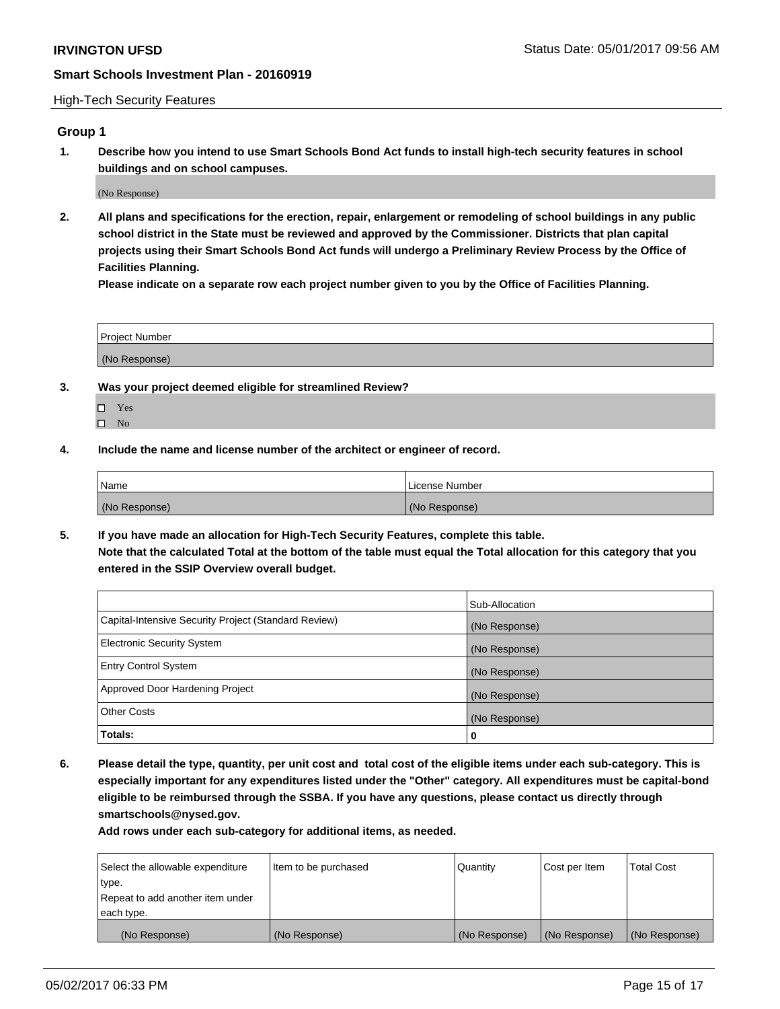#### High-Tech Security Features

## **Group 1**

**1. Describe how you intend to use Smart Schools Bond Act funds to install high-tech security features in school buildings and on school campuses.**

(No Response)

**2. All plans and specifications for the erection, repair, enlargement or remodeling of school buildings in any public school district in the State must be reviewed and approved by the Commissioner. Districts that plan capital projects using their Smart Schools Bond Act funds will undergo a Preliminary Review Process by the Office of Facilities Planning.** 

**Please indicate on a separate row each project number given to you by the Office of Facilities Planning.**

| <b>Project Number</b> |  |
|-----------------------|--|
| (No Response)         |  |

- **3. Was your project deemed eligible for streamlined Review?**
	- Yes  $\square$  No
- **4. Include the name and license number of the architect or engineer of record.**

| <b>Name</b>   | License Number |
|---------------|----------------|
| (No Response) | (No Response)  |

**5. If you have made an allocation for High-Tech Security Features, complete this table. Note that the calculated Total at the bottom of the table must equal the Total allocation for this category that you entered in the SSIP Overview overall budget.**

|                                                      | Sub-Allocation |
|------------------------------------------------------|----------------|
| Capital-Intensive Security Project (Standard Review) | (No Response)  |
| <b>Electronic Security System</b>                    | (No Response)  |
| <b>Entry Control System</b>                          | (No Response)  |
| Approved Door Hardening Project                      | (No Response)  |
| <b>Other Costs</b>                                   | (No Response)  |
| Totals:                                              | 0              |

**6. Please detail the type, quantity, per unit cost and total cost of the eligible items under each sub-category. This is especially important for any expenditures listed under the "Other" category. All expenditures must be capital-bond eligible to be reimbursed through the SSBA. If you have any questions, please contact us directly through smartschools@nysed.gov.**

| Select the allowable expenditure | Item to be purchased | Quantity      | Cost per Item | <b>Total Cost</b> |
|----------------------------------|----------------------|---------------|---------------|-------------------|
| type.                            |                      |               |               |                   |
| Repeat to add another item under |                      |               |               |                   |
| each type.                       |                      |               |               |                   |
| (No Response)                    | (No Response)        | (No Response) | (No Response) | (No Response)     |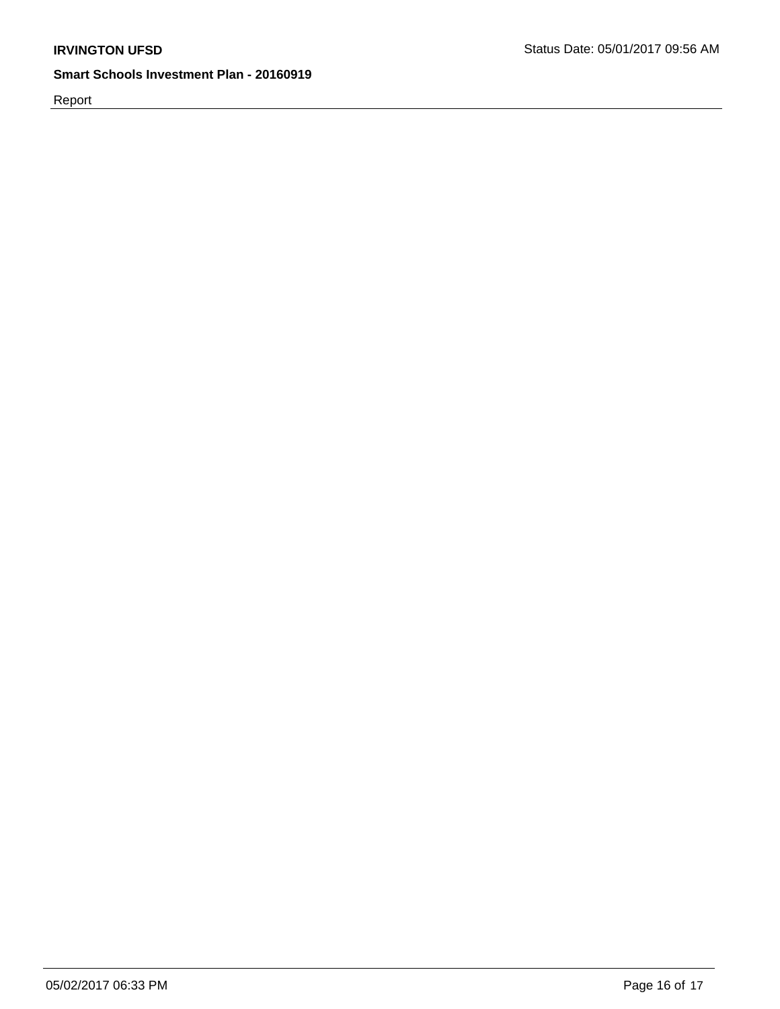Report